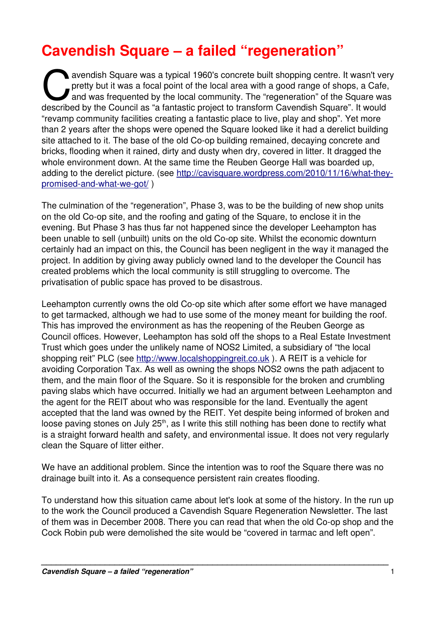# **Cavendish Square – a failed "regeneration"**

avendish Square was a typical 1960's concrete built shopping centre. It wasn't very pretty but it was a focal point of the local area with a good range of shops, a Cafe, and was frequented by the local community. The "regeneration" of the Square was avendish Square was a typical 1960's concrete built shopping centre. It wasn't verticle pretty but it was a focal point of the local area with a good range of shops, a Cafe and was frequented by the local community. The "r "revamp community facilities creating a fantastic place to live, play and shop". Yet more than 2 years after the shops were opened the Square looked like it had a derelict building site attached to it. The base of the old Co-op building remained, decaying concrete and bricks, flooding when it rained, dirty and dusty when dry, covered in litter. It dragged the whole environment down. At the same time the Reuben George Hall was boarded up, adding to the derelict picture. (see http://cavisquare.wordpress.com/2010/11/16/what-theypromised-and-what-we-got/)

The culmination of the "regeneration", Phase 3, was to be the building of new shop units on the old Co-op site, and the roofing and gating of the Square, to enclose it in the evening. But Phase 3 has thus far not happened since the developer Leehampton has been unable to sell (unbuilt) units on the old Co-op site. Whilst the economic downturn certainly had an impact on this, the Council has been negligent in the way it managed the project. In addition by giving away publicly owned land to the developer the Council has created problems which the local community is still struggling to overcome. The privatisation of public space has proved to be disastrous.

Leehampton currently owns the old Co-op site which after some effort we have managed to get tarmacked, although we had to use some of the money meant for building the roof. This has improved the environment as has the reopening of the Reuben George as Council offices. However, Leehampton has sold off the shops to a Real Estate Investment Trust which goes under the unlikely name of NOS2 Limited, a subsidiary of "the local shopping reit" PLC (see [http://www.localshoppingreit.co.uk](http://www.localshoppingreit.co.uk/) ). A REIT is a vehicle for avoiding Corporation Tax. As well as owning the shops NOS2 owns the path adjacent to them, and the main floor of the Square. So it is responsible for the broken and crumbling paving slabs which have occurred. Initially we had an argument between Leehampton and the agent for the REIT about who was responsible for the land. Eventually the agent accepted that the land was owned by the REIT. Yet despite being informed of broken and loose paving stones on July 25<sup>th</sup>, as I write this still nothing has been done to rectify what is a straight forward health and safety, and environmental issue. It does not very regularly clean the Square of litter either.

We have an additional problem. Since the intention was to roof the Square there was no drainage built into it. As a consequence persistent rain creates flooding.

To understand how this situation came about let's look at some of the history. In the run up to the work the Council produced a Cavendish Square Regeneration Newsletter. The last of them was in December 2008. There you can read that when the old Co-op shop and the Cock Robin pub were demolished the site would be "covered in tarmac and left open".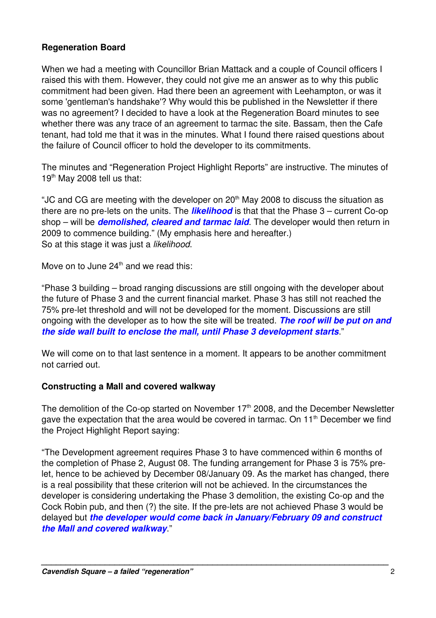#### **Regeneration Board**

When we had a meeting with Councillor Brian Mattack and a couple of Council officers I raised this with them. However, they could not give me an answer as to why this public commitment had been given. Had there been an agreement with Leehampton, or was it some 'gentleman's handshake'? Why would this be published in the Newsletter if there was no agreement? I decided to have a look at the Regeneration Board minutes to see whether there was any trace of an agreement to tarmac the site. Bassam, then the Cafe tenant, had told me that it was in the minutes. What I found there raised questions about the failure of Council officer to hold the developer to its commitments.

The minutes and "Regeneration Project Highlight Reports" are instructive. The minutes of  $19<sup>th</sup>$  May 2008 tell us that:

"JC and CG are meeting with the developer on  $20<sup>th</sup>$  May 2008 to discuss the situation as there are no pre-lets on the units. The *likelihood* is that that the Phase 3 – current Co-op shop – will be *demolished, cleared and tarmac laid*. The developer would then return in 2009 to commence building." (My emphasis here and hereafter.) So at this stage it was just a *likelihood*.

Move on to June  $24<sup>th</sup>$  and we read this:

"Phase 3 building – broad ranging discussions are still ongoing with the developer about the future of Phase 3 and the current financial market. Phase 3 has still not reached the 75% pre-let threshold and will not be developed for the moment. Discussions are still ongoing with the developer as to how the site will be treated. *The roof will be put on and the side wall built to enclose the mall, until Phase 3 development starts*."

We will come on to that last sentence in a moment. It appears to be another commitment not carried out.

#### **Constructing a Mall and covered walkway**

The demolition of the Co-op started on November  $17<sup>th</sup>$  2008, and the December Newsletter gave the expectation that the area would be covered in tarmac. On  $11<sup>th</sup>$  December we find the Project Highlight Report saying:

"The Development agreement requires Phase 3 to have commenced within 6 months of the completion of Phase 2, August 08. The funding arrangement for Phase 3 is 75% prelet, hence to be achieved by December 08/January 09. As the market has changed, there is a real possibility that these criterion will not be achieved. In the circumstances the developer is considering undertaking the Phase 3 demolition, the existing Co-op and the Cock Robin pub, and then (?) the site. If the pre-lets are not achieved Phase 3 would be delayed but *the developer would come back in January/February 09 and construct the Mall and covered walkway*."

*\_\_\_\_\_\_\_\_\_\_\_\_\_\_\_\_\_\_\_\_\_\_\_\_\_\_\_\_\_\_\_\_\_\_\_\_\_\_\_\_\_\_\_\_\_\_\_\_\_\_\_\_\_\_\_\_\_\_\_\_\_\_\_\_\_\_\_\_\_\_\_*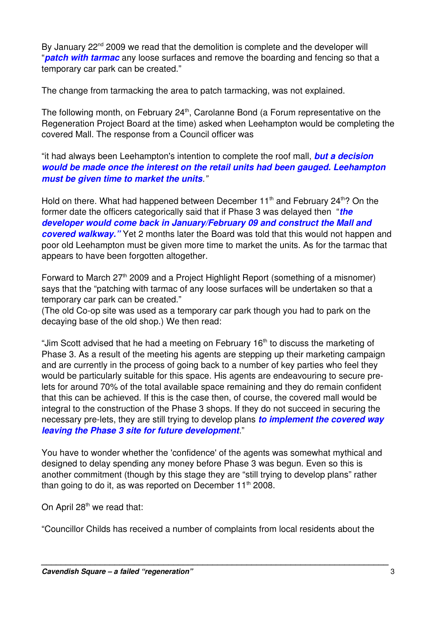By January  $22<sup>nd</sup>$  2009 we read that the demolition is complete and the developer will "*patch with tarmac* any loose surfaces and remove the boarding and fencing so that a temporary car park can be created."

The change from tarmacking the area to patch tarmacking, was not explained.

The following month, on February 24<sup>th</sup>, Carolanne Bond (a Forum representative on the Regeneration Project Board at the time) asked when Leehampton would be completing the covered Mall. The response from a Council officer was

"it had always been Leehampton's intention to complete the roof mall, *but a decision would be made once the interest on the retail units had been gauged. Leehampton must be given time to market the units."*

Hold on there. What had happened between December 11<sup>th</sup> and February 24<sup>th</sup>? On the former date the officers categorically said that if Phase 3 was delayed then "*the developer would come back in January/February 09 and construct the Mall and covered walkway."* Yet 2 months later the Board was told that this would not happen and poor old Leehampton must be given more time to market the units. As for the tarmac that appears to have been forgotten altogether.

Forward to March 27<sup>th</sup> 2009 and a Project Highlight Report (something of a misnomer) says that the "patching with tarmac of any loose surfaces will be undertaken so that a temporary car park can be created."

(The old Co-op site was used as a temporary car park though you had to park on the decaying base of the old shop.) We then read:

"Jim Scott advised that he had a meeting on February 16<sup>th</sup> to discuss the marketing of Phase 3. As a result of the meeting his agents are stepping up their marketing campaign and are currently in the process of going back to a number of key parties who feel they would be particularly suitable for this space. His agents are endeavouring to secure prelets for around 70% of the total available space remaining and they do remain confident that this can be achieved. If this is the case then, of course, the covered mall would be integral to the construction of the Phase 3 shops. If they do not succeed in securing the necessary pre-lets, they are still trying to develop plans *to implement the covered way leaving the Phase 3 site for future development*."

You have to wonder whether the 'confidence' of the agents was somewhat mythical and designed to delay spending any money before Phase 3 was begun. Even so this is another commitment (though by this stage they are "still trying to develop plans" rather than going to do it, as was reported on December  $11<sup>th</sup>$  2008.

On April 28<sup>th</sup> we read that:

"Councillor Childs has received a number of complaints from local residents about the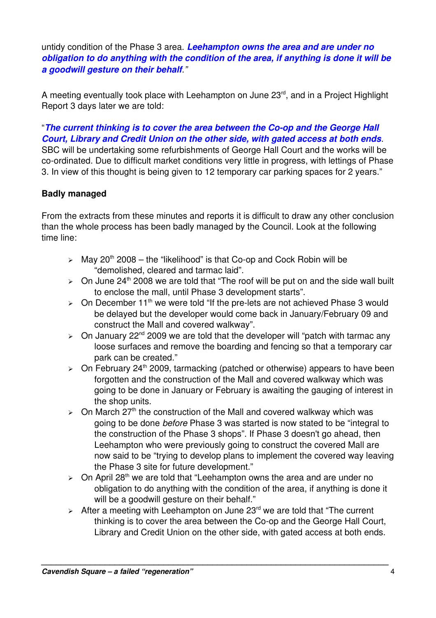untidy condition of the Phase 3 area. *Leehampton owns the area and are under no obligation to do anything with the condition of the area, if anything is done it will be a goodwill gesture on their behalf."*

A meeting eventually took place with Leehampton on June 23<sup>rd</sup>, and in a Project Highlight Report 3 days later we are told:

"The current thinking is to cover the area between the Co-op and the George Hall *Court, Library and Credit Union on the other side, with gated access at both ends*. SBC will be undertaking some refurbishments of George Hall Court and the works will be co-ordinated. Due to difficult market conditions very little in progress, with lettings of Phase 3. In view of this thought is being given to 12 temporary car parking spaces for 2 years."

## **Badly managed**

From the extracts from these minutes and reports it is difficult to draw any other conclusion than the whole process has been badly managed by the Council. Look at the following time line:

- $\geq$  May 20<sup>th</sup> 2008 the "likelihood" is that Co-op and Cock Robin will be "demolished, cleared and tarmac laid".
- $\ge$  On June 24<sup>th</sup> 2008 we are told that "The roof will be put on and the side wall built to enclose the mall, until Phase 3 development starts".
- $\ge$  On December 11<sup>th</sup> we were told "If the pre-lets are not achieved Phase 3 would be delayed but the developer would come back in January/February 09 and construct the Mall and covered walkway".
- $\geq$  On January 22<sup>nd</sup> 2009 we are told that the developer will "patch with tarmac any loose surfaces and remove the boarding and fencing so that a temporary car park can be created."
- $\ge$  On February 24<sup>th</sup> 2009, tarmacking (patched or otherwise) appears to have been forgotten and the construction of the Mall and covered walkway which was going to be done in January or February is awaiting the gauging of interest in the shop units.
- $\geq$  On March 27<sup>th</sup> the construction of the Mall and covered walkway which was going to be done *before* Phase 3 was started is now stated to be "integral to the construction of the Phase 3 shops". If Phase 3 doesn't go ahead, then Leehampton who were previously going to construct the covered Mall are now said to be "trying to develop plans to implement the covered way leaving the Phase 3 site for future development."
- $\geq$  On April 28<sup>th</sup> we are told that "Leehampton owns the area and are under no obligation to do anything with the condition of the area, if anything is done it will be a goodwill gesture on their behalf."
- $\geq$  After a meeting with Leehampton on June 23<sup>rd</sup> we are told that "The current" thinking is to cover the area between the Co-op and the George Hall Court, Library and Credit Union on the other side, with gated access at both ends.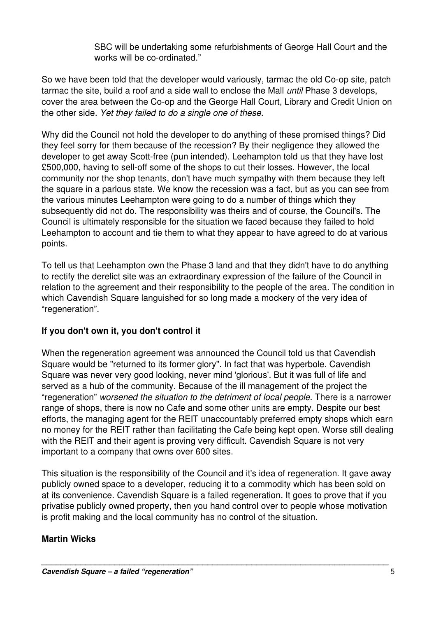SBC will be undertaking some refurbishments of George Hall Court and the works will be co-ordinated."

So we have been told that the developer would variously, tarmac the old Co-op site, patch tarmac the site, build a roof and a side wall to enclose the Mall *until* Phase 3 develops, cover the area between the Co-op and the George Hall Court, Library and Credit Union on the other side. *Yet they failed to do a single one of these*.

Why did the Council not hold the developer to do anything of these promised things? Did they feel sorry for them because of the recession? By their negligence they allowed the developer to get away Scott-free (pun intended). Leehampton told us that they have lost £500,000, having to sell-off some of the shops to cut their losses. However, the local community nor the shop tenants, don't have much sympathy with them because they left the square in a parlous state. We know the recession was a fact, but as you can see from the various minutes Leehampton were going to do a number of things which they subsequently did not do. The responsibility was theirs and of course, the Council's. The Council is ultimately responsible for the situation we faced because they failed to hold Leehampton to account and tie them to what they appear to have agreed to do at various points.

To tell us that Leehampton own the Phase 3 land and that they didn't have to do anything to rectify the derelict site was an extraordinary expression of the failure of the Council in relation to the agreement and their responsibility to the people of the area. The condition in which Cavendish Square languished for so long made a mockery of the very idea of "regeneration".

## **If you don't own it, you don't control it**

When the regeneration agreement was announced the Council told us that Cavendish Square would be "returned to its former glory". In fact that was hyperbole. Cavendish Square was never very good looking, never mind 'glorious'. But it was full of life and served as a hub of the community. Because of the ill management of the project the "regeneration" *worsened the situation to the detriment of local people*. There is a narrower range of shops, there is now no Cafe and some other units are empty. Despite our best efforts, the managing agent for the REIT unaccountably preferred empty shops which earn no money for the REIT rather than facilitating the Cafe being kept open. Worse still dealing with the REIT and their agent is proving very difficult. Cavendish Square is not very important to a company that owns over 600 sites.

This situation is the responsibility of the Council and it's idea of regeneration. It gave away publicly owned space to a developer, reducing it to a commodity which has been sold on at its convenience. Cavendish Square is a failed regeneration. It goes to prove that if you privatise publicly owned property, then you hand control over to people whose motivation is profit making and the local community has no control of the situation.

## **Martin Wicks**